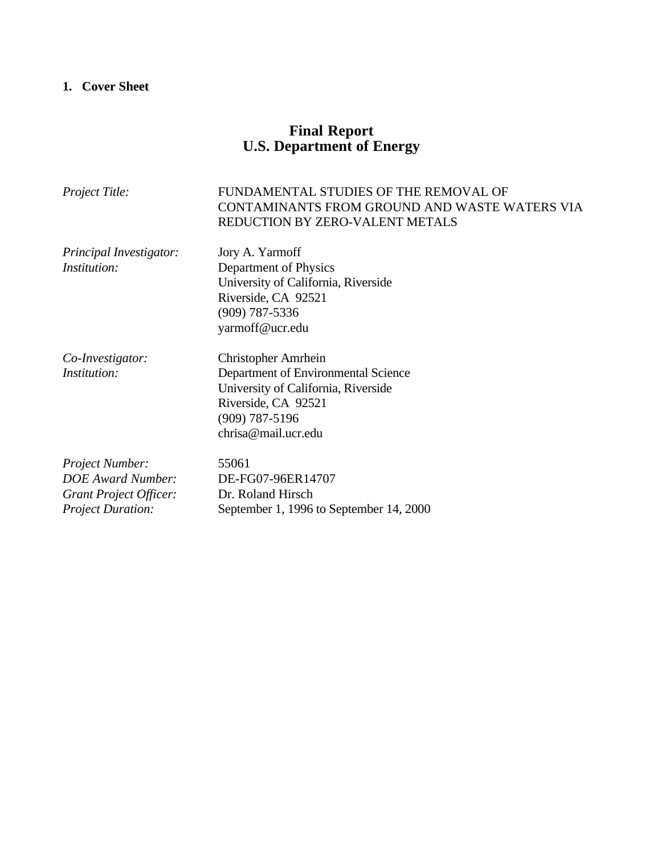# **1. Cover Sheet**

# **Final Report U.S. Department of Energy**

| Project Title:                                                                                    | FUNDAMENTAL STUDIES OF THE REMOVAL OF<br>CONTAMINANTS FROM GROUND AND WASTE WATERS VIA<br>REDUCTION BY ZERO-VALENT METALS                                           |  |
|---------------------------------------------------------------------------------------------------|---------------------------------------------------------------------------------------------------------------------------------------------------------------------|--|
| Principal Investigator:<br>Institution:                                                           | Jory A. Yarmoff<br>Department of Physics<br>University of California, Riverside<br>Riverside, CA 92521<br>$(909)$ 787-5336<br>yarmoff@ucr.edu                       |  |
| Co-Investigator:<br>Institution:                                                                  | Christopher Amrhein<br>Department of Environmental Science<br>University of California, Riverside<br>Riverside, CA 92521<br>$(909)$ 787-5196<br>chrisa@mail.ucr.edu |  |
| Project Number:<br><b>DOE</b> Award Number:<br>Grant Project Officer:<br><b>Project Duration:</b> | 55061<br>DE-FG07-96ER14707<br>Dr. Roland Hirsch<br>September 1, 1996 to September 14, 2000                                                                          |  |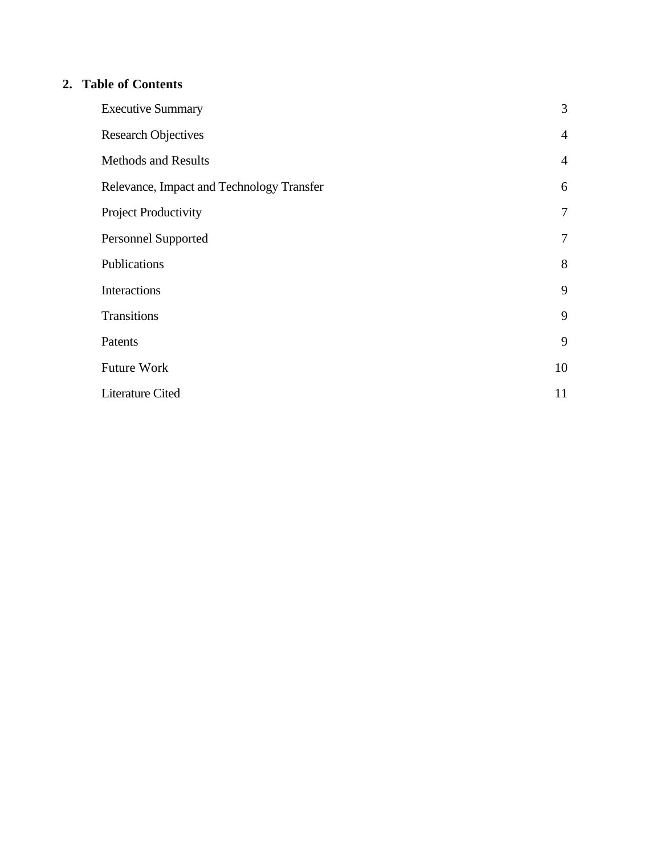## **2. Table of Contents**

| <b>Executive Summary</b>                  | 3              |
|-------------------------------------------|----------------|
| <b>Research Objectives</b>                | $\overline{4}$ |
| <b>Methods and Results</b>                | $\overline{4}$ |
| Relevance, Impact and Technology Transfer | 6              |
| Project Productivity                      | $\tau$         |
| <b>Personnel Supported</b>                | $\tau$         |
| Publications                              | 8              |
| Interactions                              | 9              |
| Transitions                               | 9              |
| Patents                                   | 9              |
| Future Work                               | 10             |
| Literature Cited                          | 11             |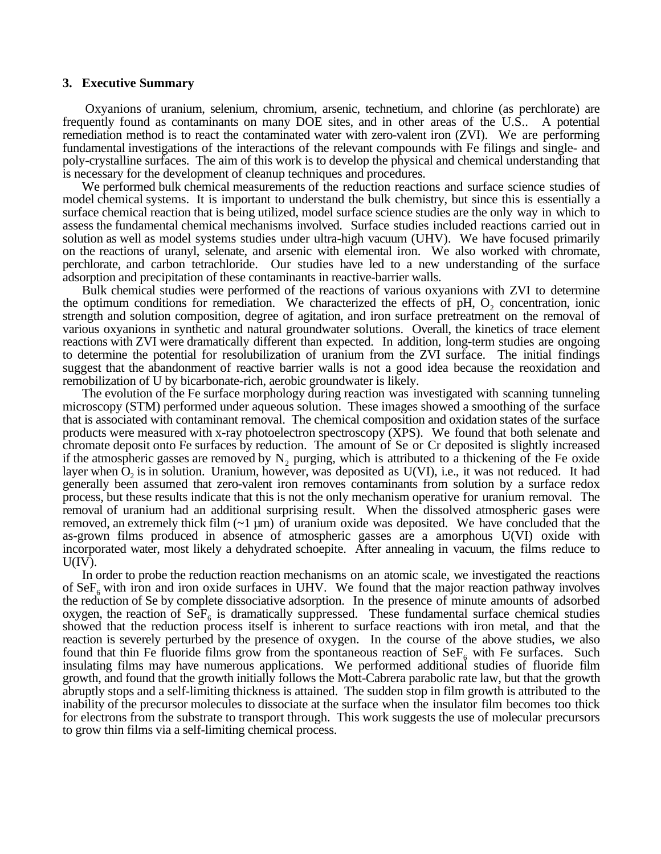#### **3. Executive Summary**

 Oxyanions of uranium, selenium, chromium, arsenic, technetium, and chlorine (as perchlorate) are frequently found as contaminants on many DOE sites, and in other areas of the U.S.. A potential remediation method is to react the contaminated water with zero-valent iron (ZVI). We are performing fundamental investigations of the interactions of the relevant compounds with Fe filings and single- and poly-crystalline surfaces. The aim of this work is to develop the physical and chemical understanding that is necessary for the development of cleanup techniques and procedures.

We performed bulk chemical measurements of the reduction reactions and surface science studies of model chemical systems. It is important to understand the bulk chemistry, but since this is essentially a surface chemical reaction that is being utilized, model surface science studies are the only way in which to assess the fundamental chemical mechanisms involved. Surface studies included reactions carried out in solution as well as model systems studies under ultra-high vacuum (UHV). We have focused primarily on the reactions of uranyl, selenate, and arsenic with elemental iron. We also worked with chromate, perchlorate, and carbon tetrachloride. Our studies have led to a new understanding of the surface adsorption and precipitation of these contaminants in reactive-barrier walls.

Bulk chemical studies were performed of the reactions of various oxyanions with ZVI to determine the optimum conditions for remediation. We characterized the effects of pH,  $O<sub>2</sub>$  concentration, ionic strength and solution composition, degree of agitation, and iron surface pretreatment on the removal of various oxyanions in synthetic and natural groundwater solutions. Overall, the kinetics of trace element reactions with ZVI were dramatically different than expected. In addition, long-term studies are ongoing to determine the potential for resolubilization of uranium from the ZVI surface. The initial findings suggest that the abandonment of reactive barrier walls is not a good idea because the reoxidation and remobilization of U by bicarbonate-rich, aerobic groundwater is likely.

The evolution of the Fe surface morphology during reaction was investigated with scanning tunneling microscopy (STM) performed under aqueous solution. These images showed a smoothing of the surface that is associated with contaminant removal. The chemical composition and oxidation states of the surface products were measured with x-ray photoelectron spectroscopy (XPS). We found that both selenate and chromate deposit onto Fe surfaces by reduction. The amount of Se or Cr deposited is slightly increased if the atmospheric gasses are removed by  $N_2$  purging, which is attributed to a thickening of the Fe oxide layer when  $O_2$  is in solution. Uranium, however, was deposited as U(VI), i.e., it was not reduced. It had generally been assumed that zero-valent iron removes contaminants from solution by a surface redox process, but these results indicate that this is not the only mechanism operative for uranium removal. The removal of uranium had an additional surprising result. When the dissolved atmospheric gases were removed, an extremely thick film  $(-1 \mu m)$  of uranium oxide was deposited. We have concluded that the as-grown films produced in absence of atmospheric gasses are a amorphous U(VI) oxide with incorporated water, most likely a dehydrated schoepite. After annealing in vacuum, the films reduce to  $U(IV)$ .

In order to probe the reduction reaction mechanisms on an atomic scale, we investigated the reactions of  $\text{SeF}_{6}$  with iron and iron oxide surfaces in UHV. We found that the major reaction pathway involves the reduction of Se by complete dissociative adsorption. In the presence of minute amounts of adsorbed oxygen, the reaction of  $\text{SeF}_6$  is dramatically suppressed. These fundamental surface chemical studies showed that the reduction process itself is inherent to surface reactions with iron metal, and that the reaction is severely perturbed by the presence of oxygen. In the course of the above studies, we also found that thin Fe fluoride films grow from the spontaneous reaction of  $\text{SeF}_6$  with Fe surfaces. Such insulating films may have numerous applications. We performed additional studies of fluoride film growth, and found that the growth initially follows the Mott-Cabrera parabolic rate law, but that the growth abruptly stops and a self-limiting thickness is attained. The sudden stop in film growth is attributed to the inability of the precursor molecules to dissociate at the surface when the insulator film becomes too thick for electrons from the substrate to transport through. This work suggests the use of molecular precursors to grow thin films via a self-limiting chemical process.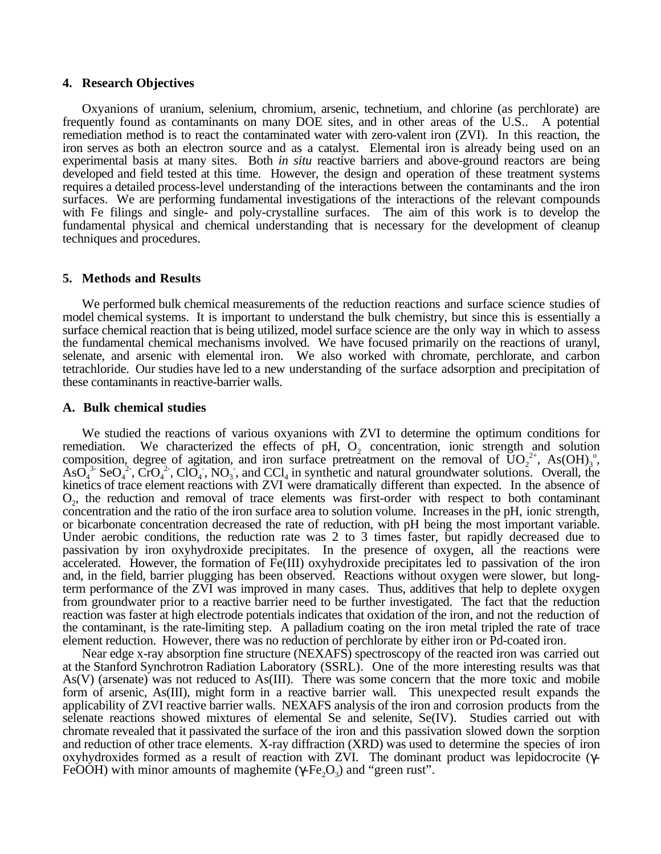#### **4. Research Objectives**

Oxyanions of uranium, selenium, chromium, arsenic, technetium, and chlorine (as perchlorate) are frequently found as contaminants on many DOE sites, and in other areas of the U.S.. A potential remediation method is to react the contaminated water with zero-valent iron (ZVI). In this reaction, the iron serves as both an electron source and as a catalyst. Elemental iron is already being used on an experimental basis at many sites. Both *in situ* reactive barriers and above-ground reactors are being developed and field tested at this time. However, the design and operation of these treatment systems requires a detailed process-level understanding of the interactions between the contaminants and the iron surfaces. We are performing fundamental investigations of the interactions of the relevant compounds with Fe filings and single- and poly-crystalline surfaces. The aim of this work is to develop the fundamental physical and chemical understanding that is necessary for the development of cleanup techniques and procedures.

#### **5. Methods and Results**

We performed bulk chemical measurements of the reduction reactions and surface science studies of model chemical systems. It is important to understand the bulk chemistry, but since this is essentially a surface chemical reaction that is being utilized, model surface science are the only way in which to assess the fundamental chemical mechanisms involved. We have focused primarily on the reactions of uranyl, selenate, and arsenic with elemental iron. We also worked with chromate, perchlorate, and carbon tetrachloride. Our studies have led to a new understanding of the surface adsorption and precipitation of these contaminants in reactive-barrier walls.

#### **A. Bulk chemical studies**

We studied the reactions of various oxyanions with ZVI to determine the optimum conditions for remediation. We characterized the effects of  $pH$ ,  $Q_2$  concentration, ionic strength and solution composition, degree of agitation, and iron surface pretreatment on the removal of  $\text{UO}_2^{2+}$ , As(OH)<sub>3</sub>°, As(O<sub>4</sub><sup>3</sup>, C<sub>1</sub>O<sub>4</sub><sup>3</sup>, C<sub>1</sub>O<sub>4</sub><sup>2</sup>, C<sub>1</sub>O<sub>4</sub><sup>3</sup>, NO<sub>3</sub><sup>3</sup>, and CCl<sub>4</sub> in synthetic and natural groundwater sol kinetics of trace element reactions with ZVI were dramatically different than expected. In the absence of O2, the reduction and removal of trace elements was first-order with respect to both contaminant concentration and the ratio of the iron surface area to solution volume. Increases in the pH, ionic strength, or bicarbonate concentration decreased the rate of reduction, with pH being the most important variable. Under aerobic conditions, the reduction rate was 2 to 3 times faster, but rapidly decreased due to passivation by iron oxyhydroxide precipitates. In the presence of oxygen, all the reactions were accelerated. However, the formation of Fe(III) oxyhydroxide precipitates led to passivation of the iron and, in the field, barrier plugging has been observed. Reactions without oxygen were slower, but longterm performance of the ZVI was improved in many cases. Thus, additives that help to deplete oxygen from groundwater prior to a reactive barrier need to be further investigated. The fact that the reduction reaction was faster at high electrode potentials indicates that oxidation of the iron, and not the reduction of the contaminant, is the rate-limiting step. A palladium coating on the iron metal tripled the rate of trace element reduction. However, there was no reduction of perchlorate by either iron or Pd-coated iron.

Near edge x-ray absorption fine structure (NEXAFS) spectroscopy of the reacted iron was carried out at the Stanford Synchrotron Radiation Laboratory (SSRL). One of the more interesting results was that As(V) (arsenate) was not reduced to As(III). There was some concern that the more toxic and mobile form of arsenic, As(III), might form in a reactive barrier wall. This unexpected result expands the applicability of ZVI reactive barrier walls. NEXAFS analysis of the iron and corrosion products from the selenate reactions showed mixtures of elemental Se and selenite, Se(IV). Studies carried out with chromate revealed that it passivated the surface of the iron and this passivation slowed down the sorption and reduction of other trace elements. X-ray diffraction (XRD) was used to determine the species of iron oxyhydroxides formed as a result of reaction with ZVI. The dominant product was lepidocrocite (γ-FeOOH) with minor amounts of maghemite (γ-Fe, O<sub>3</sub>) and "green rust".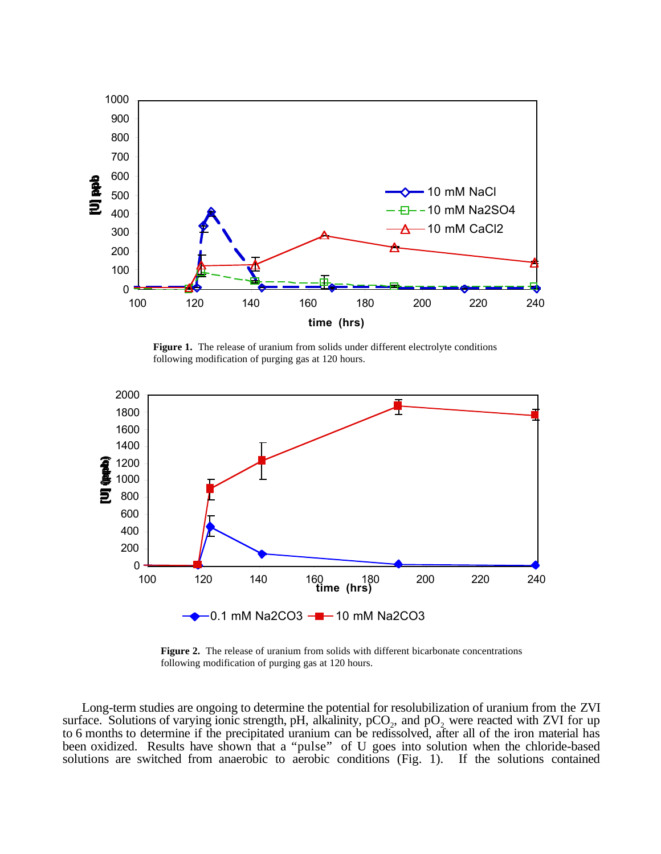

**Figure 1.** The release of uranium from solids under different electrolyte conditions following modification of purging gas at 120 hours.



**Figure 2.** The release of uranium from solids with different bicarbonate concentrations following modification of purging gas at 120 hours.

Long-term studies are ongoing to determine the potential for resolubilization of uranium from the ZVI surface. Solutions of varying ionic strength, pH, alkalinity,  $pCO<sub>2</sub>$ , and  $pO<sub>2</sub>$  were reacted with ZVI for up to 6 months to determine if the precipitated uranium can be redissolved, after all of the iron material has been oxidized. Results have shown that a "pulse" of U goes into solution when the chloride-based solutions are switched from anaerobic to aerobic conditions (Fig. 1). If the solutions contained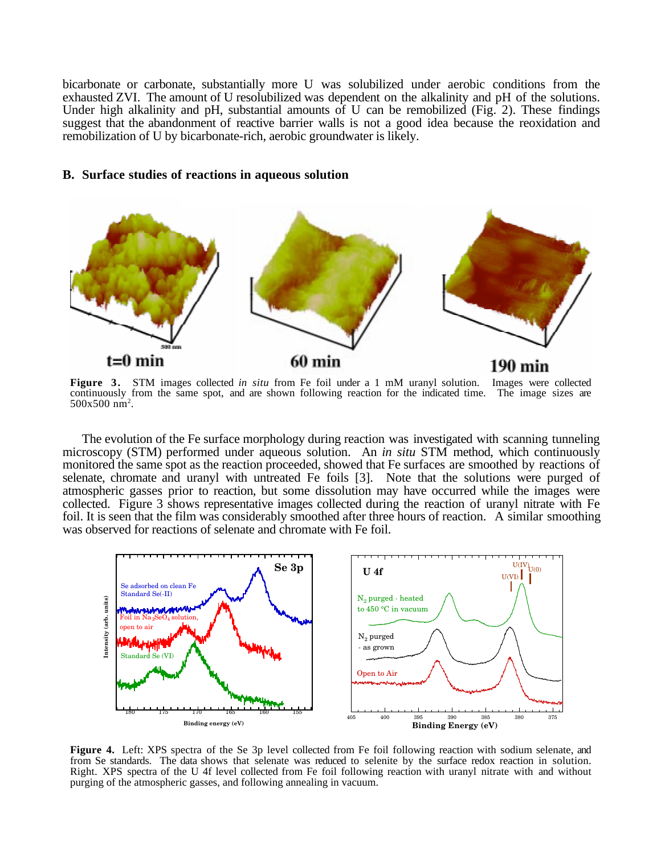bicarbonate or carbonate, substantially more U was solubilized under aerobic conditions from the exhausted ZVI. The amount of U resolubilized was dependent on the alkalinity and pH of the solutions. Under high alkalinity and pH, substantial amounts of U can be remobilized (Fig. 2). These findings suggest that the abandonment of reactive barrier walls is not a good idea because the reoxidation and remobilization of U by bicarbonate-rich, aerobic groundwater is likely.

#### **B. Surface studies of reactions in aqueous solution**



**Figure 3.** STM images collected *in situ* from Fe foil under a 1 mM uranyl solution. Images were collected continuously from the same spot, and are shown following reaction for the indicated time. The image sizes are  $500x500 \text{ nm}^2$ .

The evolution of the Fe surface morphology during reaction was investigated with scanning tunneling microscopy (STM) performed under aqueous solution. An *in situ* STM method, which continuously monitored the same spot as the reaction proceeded, showed that Fe surfaces are smoothed by reactions of selenate, chromate and uranyl with untreated Fe foils [3]. Note that the solutions were purged of atmospheric gasses prior to reaction, but some dissolution may have occurred while the images were collected. Figure 3 shows representative images collected during the reaction of uranyl nitrate with Fe foil. It is seen that the film was considerably smoothed after three hours of reaction. A similar smoothing was observed for reactions of selenate and chromate with Fe foil.



**Figure 4.** Left: XPS spectra of the Se 3p level collected from Fe foil following reaction with sodium selenate, and from Se standards. The data shows that selenate was reduced to selenite by the surface redox reaction in solution. Right. XPS spectra of the U 4f level collected from Fe foil following reaction with uranyl nitrate with and without purging of the atmospheric gasses, and following annealing in vacuum.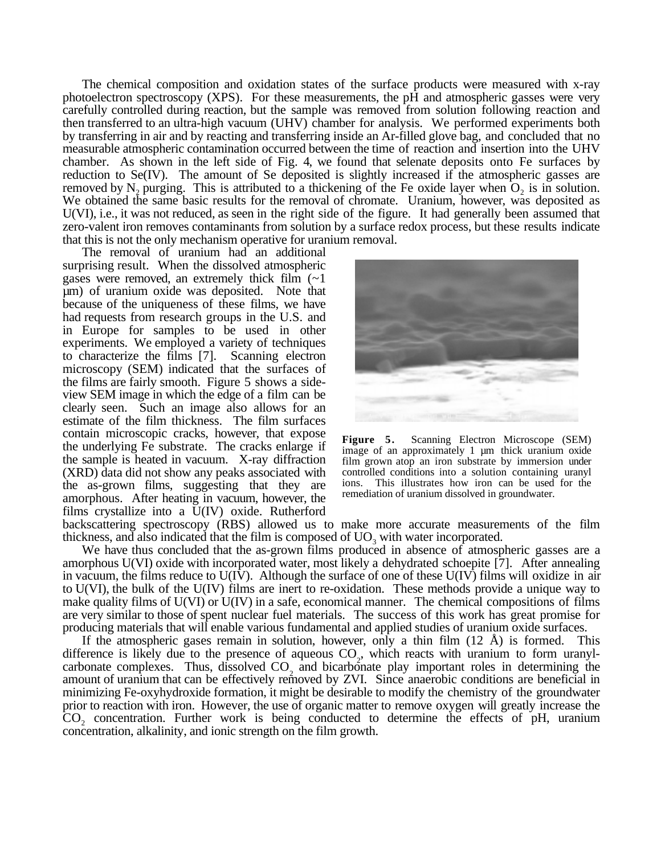The chemical composition and oxidation states of the surface products were measured with x-ray photoelectron spectroscopy (XPS). For these measurements, the pH and atmospheric gasses were very carefully controlled during reaction, but the sample was removed from solution following reaction and then transferred to an ultra-high vacuum (UHV) chamber for analysis. We performed experiments both by transferring in air and by reacting and transferring inside an Ar-filled glove bag, and concluded that no measurable atmospheric contamination occurred between the time of reaction and insertion into the UHV chamber. As shown in the left side of Fig. 4, we found that selenate deposits onto Fe surfaces by reduction to Se(IV). The amount of Se deposited is slightly increased if the atmospheric gasses are removed by N<sub>2</sub> purging. This is attributed to a thickening of the Fe oxide layer when  $O_2$  is in solution. We obtained the same basic results for the removal of chromate. Uranium, however, was deposited as U(VI), i.e., it was not reduced, as seen in the right side of the figure. It had generally been assumed that zero-valent iron removes contaminants from solution by a surface redox process, but these results indicate that this is not the only mechanism operative for uranium removal.

The removal of uranium had an additional surprising result. When the dissolved atmospheric gases were removed, an extremely thick film  $(-1)$ µm) of uranium oxide was deposited. Note that because of the uniqueness of these films, we have had requests from research groups in the U.S. and in Europe for samples to be used in other experiments. We employed a variety of techniques to characterize the films [7]. Scanning electron microscopy (SEM) indicated that the surfaces of the films are fairly smooth. Figure 5 shows a sideview SEM image in which the edge of a film can be clearly seen. Such an image also allows for an estimate of the film thickness. The film surfaces contain microscopic cracks, however, that expose the underlying Fe substrate. The cracks enlarge if the sample is heated in vacuum. X-ray diffraction (XRD) data did not show any peaks associated with the as-grown films, suggesting that they are amorphous. After heating in vacuum, however, the films crystallize into a U(IV) oxide. Rutherford backscattering spectroscopy (RBS) allowed us to make more accurate measurements of the film



**Figure 5.** Scanning Electron Microscope (SEM) image of an approximately 1 µm thick uranium oxide film grown atop an iron substrate by immersion under controlled conditions into a solution containing uranyl ions. This illustrates how iron can be used for the remediation of uranium dissolved in groundwater.

thickness, and also indicated that the film is composed of  $UO<sub>3</sub>$  with water incorporated.

We have thus concluded that the as-grown films produced in absence of atmospheric gasses are a amorphous U(VI) oxide with incorporated water, most likely a dehydrated schoepite [7]. After annealing in vacuum, the films reduce to U(IV). Although the surface of one of these U(IV) films will oxidize in air to U(VI), the bulk of the U(IV) films are inert to re-oxidation. These methods provide a unique way to make quality films of U(VI) or U(IV) in a safe, economical manner. The chemical compositions of films are very similar to those of spent nuclear fuel materials. The success of this work has great promise for producing materials that will enable various fundamental and applied studies of uranium oxide surfaces.

If the atmospheric gases remain in solution, however, only a thin film  $(12 \text{ Å})$  is formed. This difference is likely due to the presence of aqueous  $CO_2$ , which reacts with uranium to form uranylcarbonate complexes. Thus, dissolved  $CO<sub>2</sub>$  and bicarbonate play important roles in determining the amount of uranium that can be effectively removed by ZVI. Since anaerobic conditions are beneficial in minimizing Fe-oxyhydroxide formation, it might be desirable to modify the chemistry of the groundwater prior to reaction with iron. However, the use of organic matter to remove oxygen will greatly increase the CO2 concentration. Further work is being conducted to determine the effects of pH, uranium concentration, alkalinity, and ionic strength on the film growth.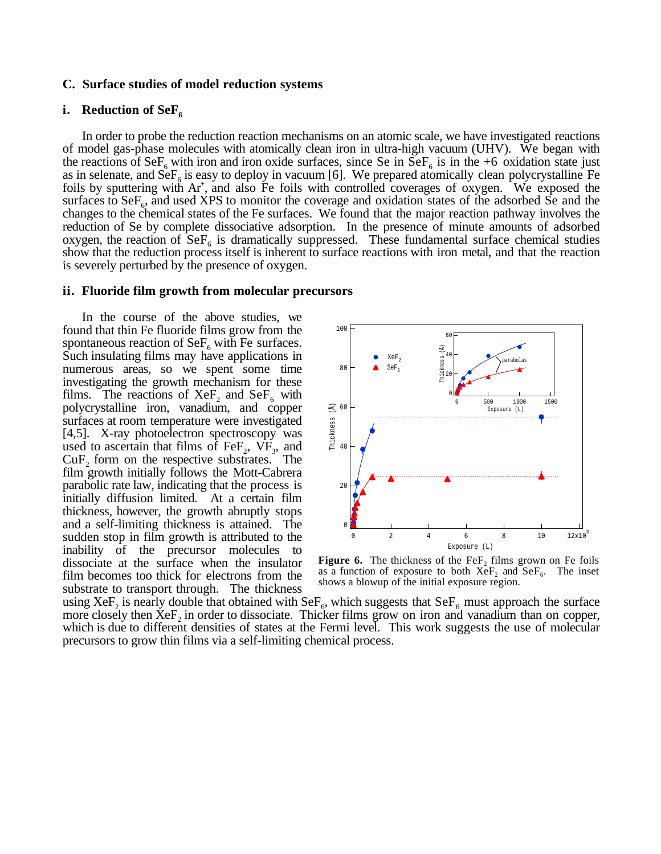#### **C. Surface studies of model reduction systems**

#### **i.** Reduction of SeF<sub>6</sub>

In order to probe the reduction reaction mechanisms on an atomic scale, we have investigated reactions of model gas-phase molecules with atomically clean iron in ultra-high vacuum (UHV). We began with the reactions of SeF<sub>6</sub> with iron and iron oxide surfaces, since Se in SeF<sub>6</sub> is in the +6 oxidation state just as in selenate, and  $\widetilde{\text{SeF}}_6$  is easy to deploy in vacuum [6]. We prepared atomically clean polycrystalline Fe foils by sputtering with Ar<sup>+</sup>, and also Fe foils with controlled coverages of oxygen. We exposed the surfaces to  $\text{SeF}_6$ , and used XPS to monitor the coverage and oxidation states of the adsorbed Se and the changes to the chemical states of the Fe surfaces. We found that the major reaction pathway involves the reduction of Se by complete dissociative adsorption. In the presence of minute amounts of adsorbed oxygen, the reaction of  $\text{SeF}_6$  is dramatically suppressed. These fundamental surface chemical studies show that the reduction process itself is inherent to surface reactions with iron metal, and that the reaction is severely perturbed by the presence of oxygen.

#### **ii. Fluoride film growth from molecular precursors**

In the course of the above studies, we found that thin Fe fluoride films grow from the spontaneous reaction of  $\text{SeF}_6$  with Fe surfaces. Such insulating films may have applications in numerous areas, so we spent some time investigating the growth mechanism for these films. The reactions of XeF<sub>2</sub> and SeF<sub>6</sub> with polycrystalline iron, vanadium, and copper surfaces at room temperature were investigated [4,5]. X-ray photoelectron spectroscopy was used to ascertain that films of FeF<sub>2</sub>,  $VF<sub>3</sub>$ , and  $CuF<sub>2</sub>$  form on the respective substrates. The film growth initially follows the Mott-Cabrera parabolic rate law, indicating that the process is initially diffusion limited. At a certain film thickness, however, the growth abruptly stops and a self-limiting thickness is attained. The sudden stop in film growth is attributed to the inability of the precursor molecules to dissociate at the surface when the insulator film becomes too thick for electrons from the substrate to transport through. The thickness



**Figure 6.** The thickness of the FeF<sub>2</sub> films grown on Fe foils as a function of exposure to both  $XeF_2$  and  $SeF_6$ . The inset shows a blowup of the initial exposure region.

using XeF<sub>2</sub> is nearly double that obtained with SeF<sub>6</sub>, which suggests that SeF<sub>6</sub> must approach the surface more closely then  $X \in F$ , in order to dissociate. Thicker films grow on iron and vanadium than on copper, which is due to different densities of states at the Fermi level. This work suggests the use of molecular precursors to grow thin films via a self-limiting chemical process.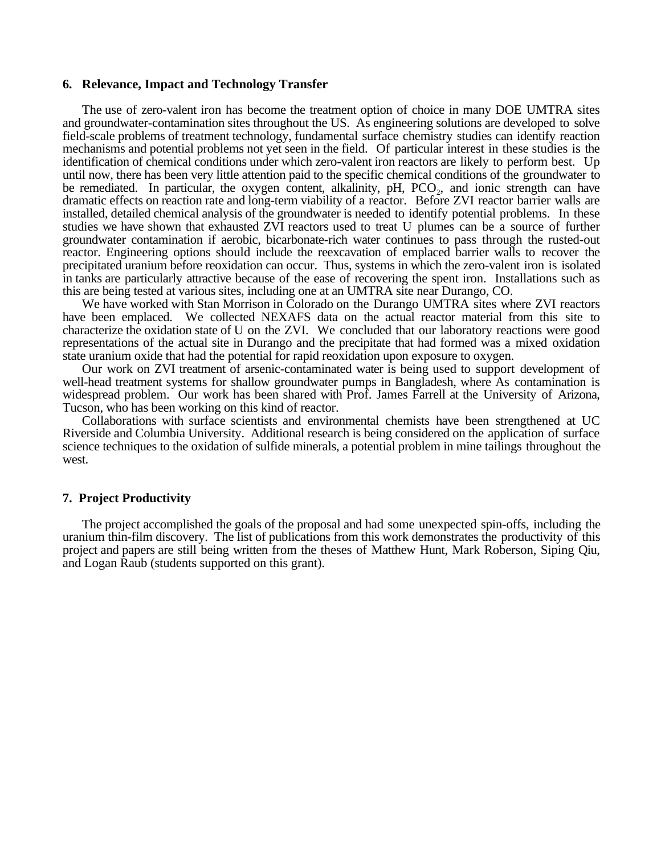#### **6. Relevance, Impact and Technology Transfer**

The use of zero-valent iron has become the treatment option of choice in many DOE UMTRA sites and groundwater-contamination sites throughout the US. As engineering solutions are developed to solve field-scale problems of treatment technology, fundamental surface chemistry studies can identify reaction mechanisms and potential problems not yet seen in the field. Of particular interest in these studies is the identification of chemical conditions under which zero-valent iron reactors are likely to perform best. Up until now, there has been very little attention paid to the specific chemical conditions of the groundwater to be remediated. In particular, the oxygen content, alkalinity,  $pH$ ,  $PCO<sub>2</sub>$ , and ionic strength can have dramatic effects on reaction rate and long-term viability of a reactor. Before ZVI reactor barrier walls are installed, detailed chemical analysis of the groundwater is needed to identify potential problems. In these studies we have shown that exhausted ZVI reactors used to treat U plumes can be a source of further groundwater contamination if aerobic, bicarbonate-rich water continues to pass through the rusted-out reactor. Engineering options should include the reexcavation of emplaced barrier walls to recover the precipitated uranium before reoxidation can occur. Thus, systems in which the zero-valent iron is isolated in tanks are particularly attractive because of the ease of recovering the spent iron. Installations such as this are being tested at various sites, including one at an UMTRA site near Durango, CO.

We have worked with Stan Morrison in Colorado on the Durango UMTRA sites where ZVI reactors have been emplaced. We collected NEXAFS data on the actual reactor material from this site to characterize the oxidation state of U on the ZVI. We concluded that our laboratory reactions were good representations of the actual site in Durango and the precipitate that had formed was a mixed oxidation state uranium oxide that had the potential for rapid reoxidation upon exposure to oxygen.

Our work on ZVI treatment of arsenic-contaminated water is being used to support development of well-head treatment systems for shallow groundwater pumps in Bangladesh, where As contamination is widespread problem. Our work has been shared with Prof. James Farrell at the University of Arizona, Tucson, who has been working on this kind of reactor.

Collaborations with surface scientists and environmental chemists have been strengthened at UC Riverside and Columbia University. Additional research is being considered on the application of surface science techniques to the oxidation of sulfide minerals, a potential problem in mine tailings throughout the west.

#### **7. Project Productivity**

The project accomplished the goals of the proposal and had some unexpected spin-offs, including the uranium thin-film discovery. The list of publications from this work demonstrates the productivity of this project and papers are still being written from the theses of Matthew Hunt, Mark Roberson, Siping Qiu, and Logan Raub (students supported on this grant).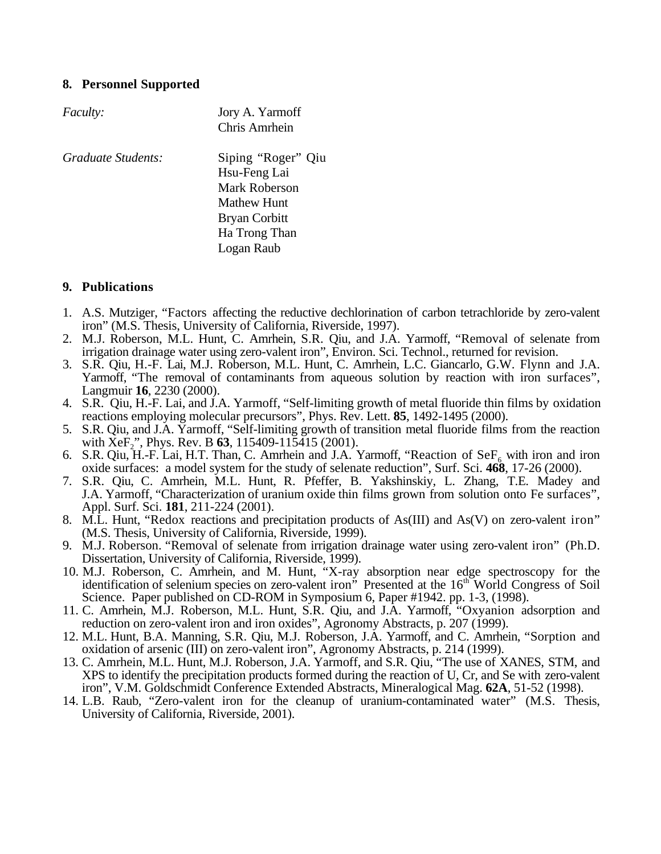## **8. Personnel Supported**

| <i>Faculty:</i>    | Jory A. Yarmoff      |
|--------------------|----------------------|
|                    | Chris Amrhein        |
| Graduate Students: | Siping "Roger" Qiu   |
|                    | Hsu-Feng Lai         |
|                    | Mark Roberson        |
|                    | Mathew Hunt          |
|                    | <b>Bryan Corbitt</b> |
|                    | Ha Trong Than        |
|                    | Logan Raub           |

## **9. Publications**

- 1. A.S. Mutziger, "Factors affecting the reductive dechlorination of carbon tetrachloride by zero-valent iron" (M.S. Thesis, University of California, Riverside, 1997).
- 2. M.J. Roberson, M.L. Hunt, C. Amrhein, S.R. Qiu, and J.A. Yarmoff, "Removal of selenate from irrigation drainage water using zero-valent iron", Environ. Sci. Technol., returned for revision.
- 3. S.R. Qiu, H.-F. Lai, M.J. Roberson, M.L. Hunt, C. Amrhein, L.C. Giancarlo, G.W. Flynn and J.A. Yarmoff, "The removal of contaminants from aqueous solution by reaction with iron surfaces", Langmuir **16**, 2230 (2000).
- 4. S.R. Qiu, H.-F. Lai, and J.A. Yarmoff, "Self-limiting growth of metal fluoride thin films by oxidation reactions employing molecular precursors", Phys. Rev. Lett. **85**, 1492-1495 (2000).
- 5. S.R. Qiu, and J.A. Yarmoff, "Self-limiting growth of transition metal fluoride films from the reaction with XeF<sub>2</sub>", Phys. Rev. B 63, 115409-115415 (2001).
- 6. S.R. Qiu, H.-F. Lai, H.T. Than, C. Amrhein and J.A. Yarmoff, "Reaction of  $\text{SeF}_6$  with iron and iron oxide surfaces: a model system for the study of selenate reduction", Surf. Sci. **468**, 17-26 (2000).
- 7. S.R. Qiu, C. Amrhein, M.L. Hunt, R. Pfeffer, B. Yakshinskiy, L. Zhang, T.E. Madey and J.A. Yarmoff, "Characterization of uranium oxide thin films grown from solution onto Fe surfaces", Appl. Surf. Sci. **181**, 211-224 (2001).
- 8. M.L. Hunt, "Redox reactions and precipitation products of As(III) and As(V) on zero-valent iron" (M.S. Thesis, University of California, Riverside, 1999).
- 9. M.J. Roberson. "Removal of selenate from irrigation drainage water using zero-valent iron" (Ph.D. Dissertation, University of California, Riverside, 1999).
- 10. M.J. Roberson, C. Amrhein, and M. Hunt, "X-ray absorption near edge spectroscopy for the identification of selenium species on zero-valent iron" Presented at the 16<sup>th</sup> World Congress of Soil Science. Paper published on CD-ROM in Symposium 6, Paper #1942. pp. 1-3, (1998).
- 11. C. Amrhein, M.J. Roberson, M.L. Hunt, S.R. Qiu, and J.A. Yarmoff, "Oxyanion adsorption and reduction on zero-valent iron and iron oxides", Agronomy Abstracts, p. 207 (1999).
- 12. M.L. Hunt, B.A. Manning, S.R. Qiu, M.J. Roberson, J.A. Yarmoff, and C. Amrhein, "Sorption and oxidation of arsenic (III) on zero-valent iron", Agronomy Abstracts, p. 214 (1999).
- 13. C. Amrhein, M.L. Hunt, M.J. Roberson, J.A. Yarmoff, and S.R. Qiu, "The use of XANES, STM, and XPS to identify the precipitation products formed during the reaction of U, Cr, and Se with zero-valent iron", V.M. Goldschmidt Conference Extended Abstracts, Mineralogical Mag. **62A**, 51-52 (1998).
- 14. L.B. Raub, "Zero-valent iron for the cleanup of uranium-contaminated water" (M.S. Thesis, University of California, Riverside, 2001).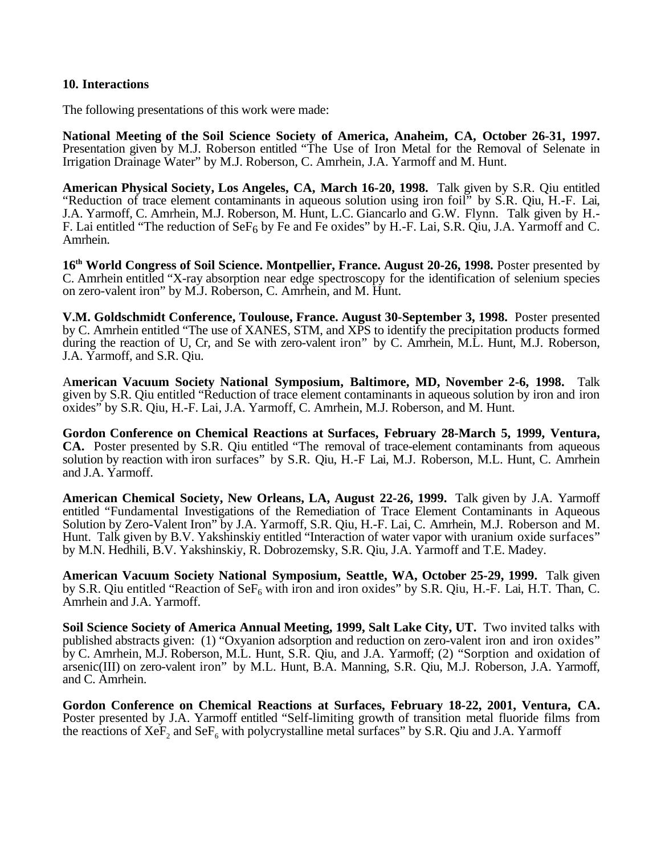### **10. Interactions**

The following presentations of this work were made:

**National Meeting of the Soil Science Society of America, Anaheim, CA, October 26-31, 1997.** Presentation given by M.J. Roberson entitled "The Use of Iron Metal for the Removal of Selenate in Irrigation Drainage Water" by M.J. Roberson, C. Amrhein, J.A. Yarmoff and M. Hunt.

**American Physical Society, Los Angeles, CA, March 16-20, 1998.** Talk given by S.R. Qiu entitled "Reduction of trace element contaminants in aqueous solution using iron foil" by S.R. Qiu, H.-F. Lai, J.A. Yarmoff, C. Amrhein, M.J. Roberson, M. Hunt, L.C. Giancarlo and G.W. Flynn. Talk given by H.- F. Lai entitled "The reduction of SeF6 by Fe and Fe oxides" by H.-F. Lai, S.R. Qiu, J.A. Yarmoff and C. Amrhein.

**16th World Congress of Soil Science. Montpellier, France. August 20-26, 1998.** Poster presented by C. Amrhein entitled "X-ray absorption near edge spectroscopy for the identification of selenium species on zero-valent iron" by M.J. Roberson, C. Amrhein, and M. Hunt.

**V.M. Goldschmidt Conference, Toulouse, France. August 30-September 3, 1998.** Poster presented by C. Amrhein entitled "The use of XANES, STM, and XPS to identify the precipitation products formed during the reaction of U, Cr, and Se with zero-valent iron" by C. Amrhein, M.L. Hunt, M.J. Roberson, J.A. Yarmoff, and S.R. Qiu.

A**merican Vacuum Society National Symposium, Baltimore, MD, November 2-6, 1998.** Talk given by S.R. Qiu entitled "Reduction of trace element contaminants in aqueous solution by iron and iron oxides" by S.R. Qiu, H.-F. Lai, J.A. Yarmoff, C. Amrhein, M.J. Roberson, and M. Hunt.

**Gordon Conference on Chemical Reactions at Surfaces, February 28-March 5, 1999, Ventura, CA.** Poster presented by S.R. Qiu entitled "The removal of trace-element contaminants from aqueous solution by reaction with iron surfaces" by S.R. Qiu, H.-F Lai, M.J. Roberson, M.L. Hunt, C. Amrhein and J.A. Yarmoff.

**American Chemical Society, New Orleans, LA, August 22-26, 1999.** Talk given by J.A. Yarmoff entitled "Fundamental Investigations of the Remediation of Trace Element Contaminants in Aqueous Solution by Zero-Valent Iron" by J.A. Yarmoff, S.R. Qiu, H.-F. Lai, C. Amrhein, M.J. Roberson and M. Hunt. Talk given by B.V. Yakshinskiy entitled "Interaction of water vapor with uranium oxide surfaces" by M.N. Hedhili, B.V. Yakshinskiy, R. Dobrozemsky, S.R. Qiu, J.A. Yarmoff and T.E. Madey.

**American Vacuum Society National Symposium, Seattle, WA, October 25-29, 1999.** Talk given by S.R. Qiu entitled "Reaction of  $\text{SeF}_6$  with iron and iron oxides" by S.R. Qiu, H.-F. Lai, H.T. Than, C. Amrhein and J.A. Yarmoff.

**Soil Science Society of America Annual Meeting, 1999, Salt Lake City, UT.** Two invited talks with published abstracts given: (1) "Oxyanion adsorption and reduction on zero-valent iron and iron oxides" by C. Amrhein, M.J. Roberson, M.L. Hunt, S.R. Qiu, and J.A. Yarmoff; (2) "Sorption and oxidation of arsenic(III) on zero-valent iron" by M.L. Hunt, B.A. Manning, S.R. Qiu, M.J. Roberson, J.A. Yarmoff, and C. Amrhein.

**Gordon Conference on Chemical Reactions at Surfaces, February 18-22, 2001, Ventura, CA.** Poster presented by J.A. Yarmoff entitled "Self-limiting growth of transition metal fluoride films from the reactions of XeF<sub>2</sub> and SeF<sub>6</sub> with polycrystalline metal surfaces" by S.R. Qiu and J.A. Yarmoff